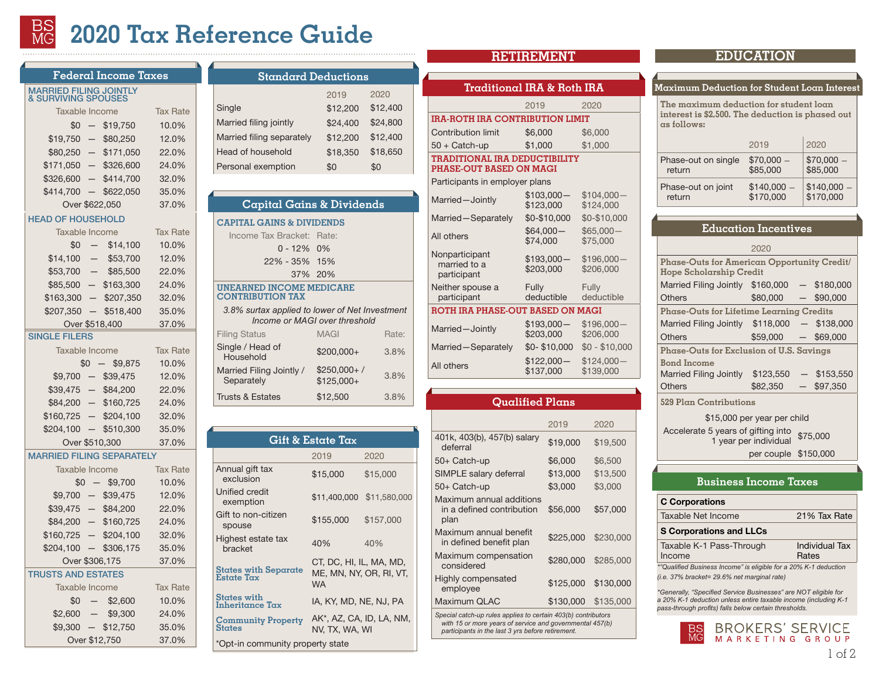# **2020 Tax Reference Guide**

|                                                           |                          | Federal Income Taxes         |                 |  |
|-----------------------------------------------------------|--------------------------|------------------------------|-----------------|--|
| <b>MARRIED FILING JOINTLY<br/>&amp; SURVIVING SPOUSES</b> |                          |                              |                 |  |
| Taxable Income                                            |                          |                              | <b>Tax Rate</b> |  |
|                                                           |                          | $$0 - $19,750$               | 10.0%           |  |
| $$19,750 -$                                               |                          | \$80,250                     | 12.0%           |  |
|                                                           |                          | $$80,250 - $171,050$         | 22.0%           |  |
|                                                           |                          | $$171,050 - $326,600$        | 24.0%           |  |
| \$326,600                                                 | $-$                      | \$414,700                    | 32.0%           |  |
|                                                           |                          | $$414,700 - $622,050$        | 35.0%           |  |
|                                                           |                          | Over \$622,050               | 37.0%           |  |
| <b>HEAD OF HOUSEHOLD</b>                                  |                          |                              |                 |  |
| Taxable Income                                            |                          |                              | <b>Tax Rate</b> |  |
|                                                           |                          | $$0 - $14,100$               | 10.0%           |  |
|                                                           |                          | $$14,100 - $53,700$          | 12.0%           |  |
| \$53,700                                                  | $\overline{\phantom{a}}$ | \$85,500                     | 22.0%           |  |
|                                                           |                          | $$85,500 - $163,300$         | 24.0%           |  |
|                                                           |                          | $$163,300 - $207,350$        | 32.0%           |  |
|                                                           |                          | $$207,350 - $518,400$        | 35.0%           |  |
|                                                           |                          | Over \$518,400               | 37.0%           |  |
| SINGLE FILERS                                             |                          |                              |                 |  |
| Taxable Income                                            |                          |                              | <b>Tax Rate</b> |  |
|                                                           |                          | $$0 - $9,875$                | 10.0%           |  |
| $$9.875 -$                                                |                          | \$40,125                     | 12.0%           |  |
|                                                           |                          | $$40,125 - $85,525$          | 22.0%           |  |
| $$85,525 -$                                               |                          | \$163,300                    | 24.0%           |  |
| $$163,300 -$                                              |                          | \$207,350                    | 32.0%           |  |
| $$207,350 -$                                              |                          | \$518,400                    | 35.0%           |  |
|                                                           |                          | Over \$518,400               | 37.0%           |  |
| <b>MARRIED FILING SEPARATELY</b>                          |                          |                              |                 |  |
| Taxable Income                                            |                          |                              | <b>Tax Rate</b> |  |
|                                                           |                          | $$0 - $9,875$                | 10.0%           |  |
|                                                           |                          | $$9,875$ - \$40,125          | 12.0%           |  |
| $$40,125 -$                                               |                          | \$85,525                     | 22.0%           |  |
|                                                           |                          | $$85,525 - $163,300$         | 24.0%           |  |
|                                                           |                          | $$163,300 - $207,350$        | 32.0%           |  |
|                                                           |                          | $$207,350 - $311,025$        | 35.0%           |  |
|                                                           |                          | Over \$311,025               | 37.0%           |  |
| <b>TRUSTS AND ESTATES</b>                                 |                          |                              |                 |  |
| Taxable Income                                            |                          |                              | <b>Tax Rate</b> |  |
|                                                           | $$0 -$                   | \$2,600<br>$$2,600 - $9,450$ | 10.0%           |  |
|                                                           |                          |                              | 24.0%           |  |
|                                                           |                          | $$9,450 - $12,950$           | 35.0%           |  |

Over \$12,950 37.0%

| <b>Standard Deductions</b> |          |          |
|----------------------------|----------|----------|
|                            | 2019     | 2020     |
| Single                     | \$12,200 | \$12,400 |
| Married filing jointly     | \$24,400 | \$24,800 |
| Married filing separately  | \$12,200 | \$12,400 |
| Head of household          | \$18,350 | \$18,650 |
| Personal exemption         | \$0      | \$0      |
|                            |          |          |
|                            |          |          |

# **CAPITAL GAINS & DIVIDENDS Capital Gains & Dividends**

Income Tax Bracket: Rate: 0 - 12% 0% 22% - 35% 15% 37% 20% **UNEARNED INCOME MEDICARE CONTRIBUTION TAX**  *3.8% surtax applied to lower of Net Investment Income or MAGI over threshold*  Filing Status MAGI Rate: Single / Head of  $\frac{4}{3.8\%}$  Household  $\frac{4}{3.8\%}$ Married Filing Jointly / **Separately**  $$250,000+ /$  $$125.000+$  3.8% Trusts & Estates \$12,500 3.8%

| Gift & Estate Tax                          |                                                                 |                          |  |  |  |
|--------------------------------------------|-----------------------------------------------------------------|--------------------------|--|--|--|
|                                            | 2019                                                            | 2020                     |  |  |  |
| Annual gift tax<br>exclusion               | \$15,000                                                        | \$15,000                 |  |  |  |
| Unified credit<br>exemption                | \$11,400,000                                                    | \$11,580,000             |  |  |  |
| Gift to non-citizen<br>spouse              | \$155,000                                                       | \$157,000                |  |  |  |
| Highest estate tax<br>bracket              | 40%                                                             | 40%                      |  |  |  |
| States with Separate<br>Estate Tax         | CT, DC, HI, IL, MA, MD,<br>ME, MN, NY, OR, RI, VT,<br><b>WA</b> |                          |  |  |  |
| States with<br>Inheritance Tax             | IA, KY, MD, NE, NJ, PA                                          |                          |  |  |  |
| <b>Community Property</b><br><b>States</b> | NV. TX. WA. WI                                                  | AK*, AZ, CA, ID, LA, NM, |  |  |  |
| *Opt-in community property state           |                                                                 |                          |  |  |  |

# **Traditional IRA & Roth IRA**

2019 2020 **IRA-ROTH IRA CONTRIBUTION LIMIT**

# Contribution limit \$6,000 \$6,000

#### 50 + Catch-up \$1,000 \$1,000 **TRADITIONAL IRA DEDUCTIBILITY PHASE-OUT BASED ON MAGI**

#### Participants in employer plans

| $$103.000-$                      | $$104.000-$    |  |
|----------------------------------|----------------|--|
| \$123,000                        | \$124,000      |  |
| \$0-\$10,000                     | \$0-\$10,000   |  |
| $$64.000-$                       | $$65.000-$     |  |
| \$74,000                         | \$75,000       |  |
| $$193,000-$                      | $$196.000-$    |  |
| \$203,000                        | \$206.000      |  |
| Fully                            | Fully          |  |
| deductible                       | deductible     |  |
| ROTH IRA PHASE-OUT BASED ON MAGI |                |  |
| $$193,000-$                      | $$196,000-$    |  |
| \$203,000                        | \$206,000      |  |
| \$0-\$10,000                     | $$0 - $10.000$ |  |
| $$122,000-$                      | $$124,000-$    |  |
| \$137,000                        | \$139,000      |  |
|                                  |                |  |

#### **Qualified Plans**

|                                                               | 2019      | 2020      |
|---------------------------------------------------------------|-----------|-----------|
| 401k, 403(b), 457(b) salary<br>deferral                       | \$19,000  | \$19,500  |
| 50+ Catch-up                                                  | \$6,000   | \$6,500   |
| SIMPLE salary deferral                                        | \$13,000  | \$13,500  |
| 50+ Catch-up                                                  | \$3,000   | \$3,000   |
| Maximum annual additions<br>in a defined contribution<br>plan | \$56,000  | \$57,000  |
| Maximum annual benefit<br>in defined benefit plan             | \$225,000 | \$230,000 |
| Maximum compensation<br>considered                            | \$280,000 | \$285,000 |
| Highly compensated<br>employee                                | \$125,000 | \$130,000 |
| Maximum QLAC                                                  | \$130,000 | \$135,000 |
|                                                               |           |           |

*Special catch-up rules applies to certain 403(b) contributors with 15 or more years of service and governmental 457(b) participants in the last 3 yrs before retirement.*

# **RETIREMENT EDUCATION**

#### **Maximum Deduction for Student Loan Interest**

**The maximum deduction for student loan interest is \$2,500. The deduction is phased out as follows:** 

|                     | 2019        | 2020        |
|---------------------|-------------|-------------|
| Phase-out on single | $$70,000-$  | $$70,000-$  |
| return              | \$85,000    | \$85,000    |
| Phase-out on joint  | $$140,000-$ | $$140,000-$ |
| return              | \$170,000   | \$170,000   |

|                                                                        | Education Incentives |               |
|------------------------------------------------------------------------|----------------------|---------------|
|                                                                        | 2020                 |               |
| Phase-Outs for American Opportunity Credit/<br>Hope Scholarship Credit |                      |               |
| Married Filing Jointly \$160,000                                       |                      | $-$ \$180,000 |
| Others                                                                 | \$80,000             | $-$ \$90,000  |
| Phase-Outs for Lifetime Learning Credits                               |                      |               |
| Married Filing Jointly \$118,000                                       |                      | $-$ \$138,000 |
| Others                                                                 | \$59,000             | $-$ \$69,000  |
| Phase-Outs for Exclusion of U.S. Savings                               |                      |               |
| Bond Income                                                            |                      |               |
| <b>Married Filing Jointly</b>                                          | \$123,550            | \$153,550     |
| <b>Others</b>                                                          | \$82,350             | \$97.350      |
|                                                                        |                      |               |

**529 Plan Contributions**

\$15,000 per year per child Accelerate 5 years of gifting into 1 year per individual \$75,000

per couple \$150,000

# **Business Income Taxes**

# C Corporations

| Taxable Net Income | 21% Tax Rate |
|--------------------|--------------|
|                    |              |

#### S Corporations and LLCs

| Taxable K-1 Pass-Through                                         | Individual Tax |
|------------------------------------------------------------------|----------------|
| Income                                                           | Rates          |
| *"Qualified Business Income" is eligible for a 20% K-1 deduction |                |

*(i.e. 37% bracket= 29.6% net marginal rate)*

*\*Generally, "Specified Service Businesses" are NOT eligible for a 20% K-1 deduction unless entire taxable income (including K-1 pass-through profits) falls below certain thresholds.*